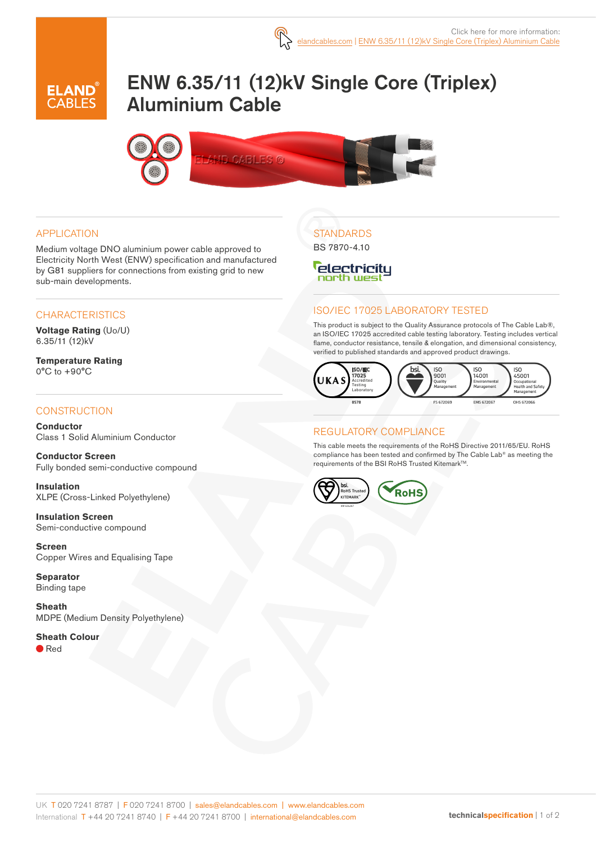

# ENW 6.35/11 (12)kV Single Core (Triplex) Aluminium Cable



#### APPLICATION

Medium voltage DNO aluminium power cable approved to Electricity North West (ENW) specification and manufactured by G81 suppliers for connections from existing grid to new sub-main developments.

### **CHARACTERISTICS**

**Voltage Rating** (Uo/U) 6.35/11 (12)kV

**Temperature Rating** 0°C to +90°C

### **CONSTRUCTION**

**Conductor** Class 1 Solid Aluminium Conductor

**Conductor Screen** Fully bonded semi-conductive compound

**Insulation** XLPE (Cross-Linked Polyethylene)

**Insulation Screen** Semi-conductive compound

**Screen** Copper Wires and Equalising Tape

**Separator** Binding tape

**Sheath** MDPE (Medium Density Polyethylene)

#### **Sheath Colour**

● Red

# **STANDARDS**

BS 7870-4.10

#### *<u>electricitu</u>* north west

### ISO/IEC 17025 LABORATORY TESTED

This product is subject to the Quality Assurance protocols of The Cable Lab®, an ISO/IEC 17025 accredited cable testing laboratory. Testing includes vertical flame, conductor resistance, tensile & elongation, and dimensional consistency, verified to published standards and approved product drawings.



#### REGULATORY COMPLIANCE

This cable meets the requirements of the RoHS Directive 2011/65/EU. RoHS compliance has been tested and confirmed by The Cable Lab® as meeting the requirements of the BSI RoHS Trusted KitemarkTM.